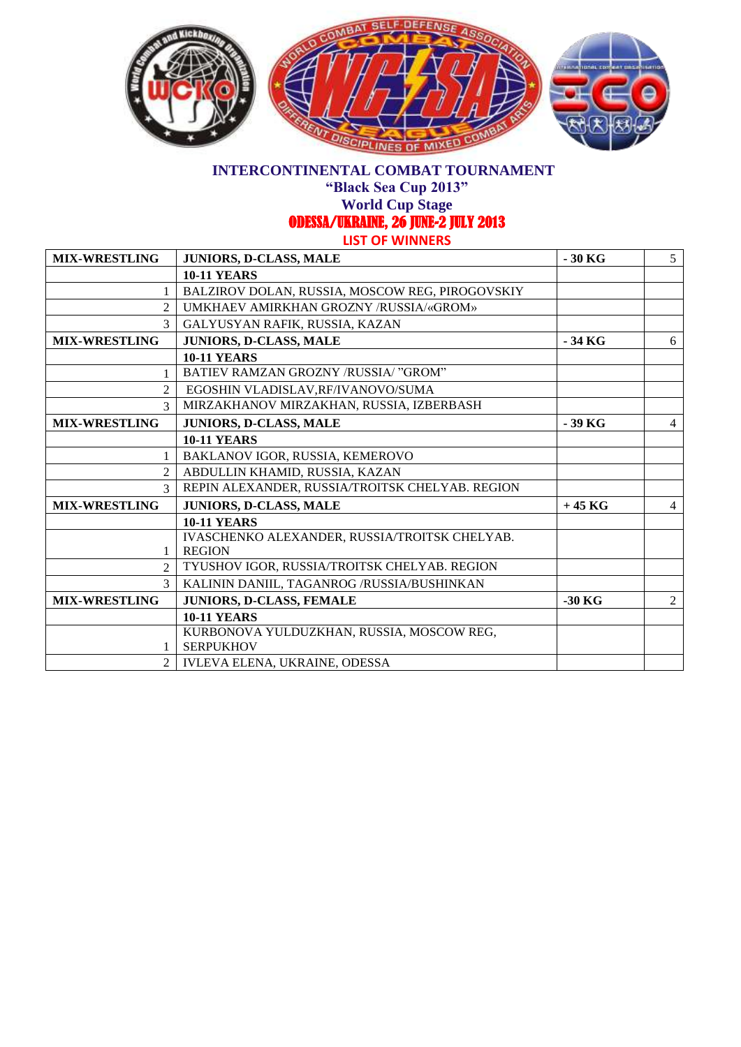

**"Black Sea Cup 2013"**

**World Cup Stage** 

ODESSA/UKRAINE, 26 JUNE-2 JULY 2013

| <b>MIX-WRESTLING</b>   | JUNIORS, D-CLASS, MALE                          | $-30$ KG | 5              |
|------------------------|-------------------------------------------------|----------|----------------|
|                        | <b>10-11 YEARS</b>                              |          |                |
|                        | BALZIROV DOLAN, RUSSIA, MOSCOW REG, PIROGOVSKIY |          |                |
| $\mathfrak{D}$         | UMKHAEV AMIRKHAN GROZNY /RUSSIA/«GROM»          |          |                |
| 3                      | GALYUSYAN RAFIK, RUSSIA, KAZAN                  |          |                |
| <b>MIX-WRESTLING</b>   | JUNIORS, D-CLASS, MALE                          | - 34 KG  | 6              |
|                        | <b>10-11 YEARS</b>                              |          |                |
|                        | BATIEV RAMZAN GROZNY /RUSSIA/ "GROM"            |          |                |
| $\overline{c}$         | EGOSHIN VLADISLAV, RF/IVANOVO/SUMA              |          |                |
| $\mathcal{F}$          | MIRZAKHANOV MIRZAKHAN, RUSSIA, IZBERBASH        |          |                |
| <b>MIX-WRESTLING</b>   | JUNIORS, D-CLASS, MALE                          | - 39 KG  | $\overline{4}$ |
|                        | <b>10-11 YEARS</b>                              |          |                |
|                        | BAKLANOV IGOR, RUSSIA, KEMEROVO                 |          |                |
| $\mathcal{D}_{\alpha}$ | ABDULLIN KHAMID, RUSSIA, KAZAN                  |          |                |
| $\mathcal{F}$          | REPIN ALEXANDER, RUSSIA/TROITSK CHELYAB. REGION |          |                |
| <b>MIX-WRESTLING</b>   | JUNIORS, D-CLASS, MALE                          | $+45$ KG | $\overline{4}$ |
|                        | <b>10-11 YEARS</b>                              |          |                |
|                        | IVASCHENKO ALEXANDER, RUSSIA/TROITSK CHELYAB.   |          |                |
| 1                      | <b>REGION</b>                                   |          |                |
| $\mathcal{D}$          | TYUSHOV IGOR, RUSSIA/TROITSK CHELYAB. REGION    |          |                |
| $\mathfrak{Z}$         | KALININ DANIIL, TAGANROG /RUSSIA/BUSHINKAN      |          |                |
| <b>MIX-WRESTLING</b>   | JUNIORS, D-CLASS, FEMALE                        | $-30$ KG | 2              |
|                        | <b>10-11 YEARS</b>                              |          |                |
|                        | KURBONOVA YULDUZKHAN, RUSSIA, MOSCOW REG,       |          |                |
|                        | <b>SERPUKHOV</b>                                |          |                |
| $\mathfrak{D}$         | IVLEVA ELENA, UKRAINE, ODESSA                   |          |                |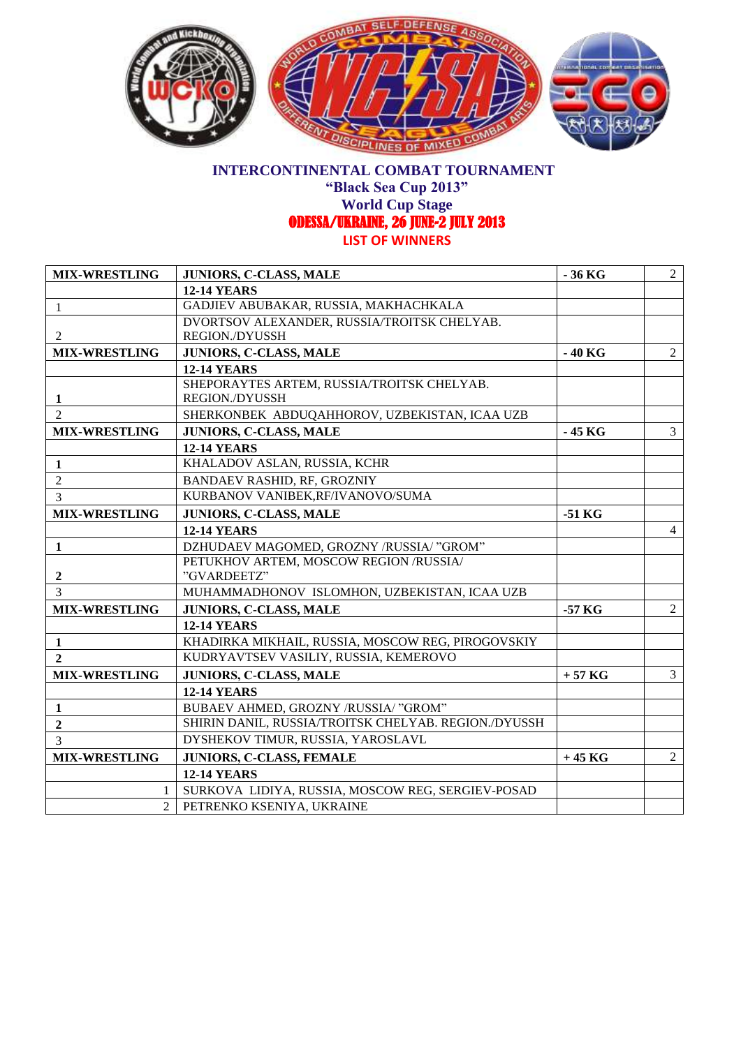

**"Black Sea Cup 2013"**

**World Cup Stage** 

ODESSA/UKRAINE, 26 JUNE-2 JULY 2013

| <b>MIX-WRESTLING</b> | JUNIORS, C-CLASS, MALE                               | $-36$ KG | $\overline{2}$ |
|----------------------|------------------------------------------------------|----------|----------------|
|                      | <b>12-14 YEARS</b>                                   |          |                |
| -1                   | GADJIEV ABUBAKAR, RUSSIA, MAKHACHKALA                |          |                |
|                      | DVORTSOV ALEXANDER, RUSSIA/TROITSK CHELYAB.          |          |                |
| $\overline{2}$       | <b>REGION./DYUSSH</b>                                |          |                |
| <b>MIX-WRESTLING</b> | JUNIORS, C-CLASS, MALE                               | $-40$ KG | 2              |
|                      | <b>12-14 YEARS</b>                                   |          |                |
|                      | SHEPORAYTES ARTEM, RUSSIA/TROITSK CHELYAB.           |          |                |
| 1                    | <b>REGION./DYUSSH</b>                                |          |                |
| $\mathcal{L}$        | SHERKONBEK ABDUQAHHOROV, UZBEKISTAN, ICAA UZB        |          |                |
| <b>MIX-WRESTLING</b> | JUNIORS, C-CLASS, MALE                               | - 45 KG  | $\overline{3}$ |
|                      | <b>12-14 YEARS</b>                                   |          |                |
| $\mathbf{1}$         | KHALADOV ASLAN, RUSSIA, KCHR                         |          |                |
| $\overline{2}$       | <b>BANDAEV RASHID, RF, GROZNIY</b>                   |          |                |
| 3                    | KURBANOV VANIBEK, RF/IVANOVO/SUMA                    |          |                |
| <b>MIX-WRESTLING</b> | JUNIORS, C-CLASS, MALE                               | $-51$ KG |                |
|                      | <b>12-14 YEARS</b>                                   |          | $\overline{4}$ |
| 1                    | DZHUDAEV MAGOMED, GROZNY /RUSSIA/ "GROM"             |          |                |
|                      | PETUKHOV ARTEM, MOSCOW REGION /RUSSIA/               |          |                |
| $\boldsymbol{2}$     | "GVARDEETZ"                                          |          |                |
| $\mathcal{E}$        | MUHAMMADHONOV ISLOMHON, UZBEKISTAN, ICAA UZB         |          |                |
| <b>MIX-WRESTLING</b> | JUNIORS, C-CLASS, MALE                               | $-57$ KG | 2              |
|                      | <b>12-14 YEARS</b>                                   |          |                |
| 1                    | KHADIRKA MIKHAIL, RUSSIA, MOSCOW REG, PIROGOVSKIY    |          |                |
| $\overline{2}$       | KUDRYAVTSEV VASILIY, RUSSIA, KEMEROVO                |          |                |
| <b>MIX-WRESTLING</b> | JUNIORS, C-CLASS, MALE                               | $+57$ KG | $\overline{3}$ |
|                      | <b>12-14 YEARS</b>                                   |          |                |
| $\mathbf{1}$         | BUBAEV AHMED, GROZNY /RUSSIA/ "GROM"                 |          |                |
| $\boldsymbol{2}$     | SHIRIN DANIL, RUSSIA/TROITSK CHELYAB. REGION./DYUSSH |          |                |
| 3                    | DYSHEKOV TIMUR, RUSSIA, YAROSLAVL                    |          |                |
| <b>MIX-WRESTLING</b> | JUNIORS, C-CLASS, FEMALE                             | $+45$ KG | $\overline{2}$ |
|                      | <b>12-14 YEARS</b>                                   |          |                |
| 1                    | SURKOVA LIDIYA, RUSSIA, MOSCOW REG, SERGIEV-POSAD    |          |                |
| $\overline{2}$       | PETRENKO KSENIYA, UKRAINE                            |          |                |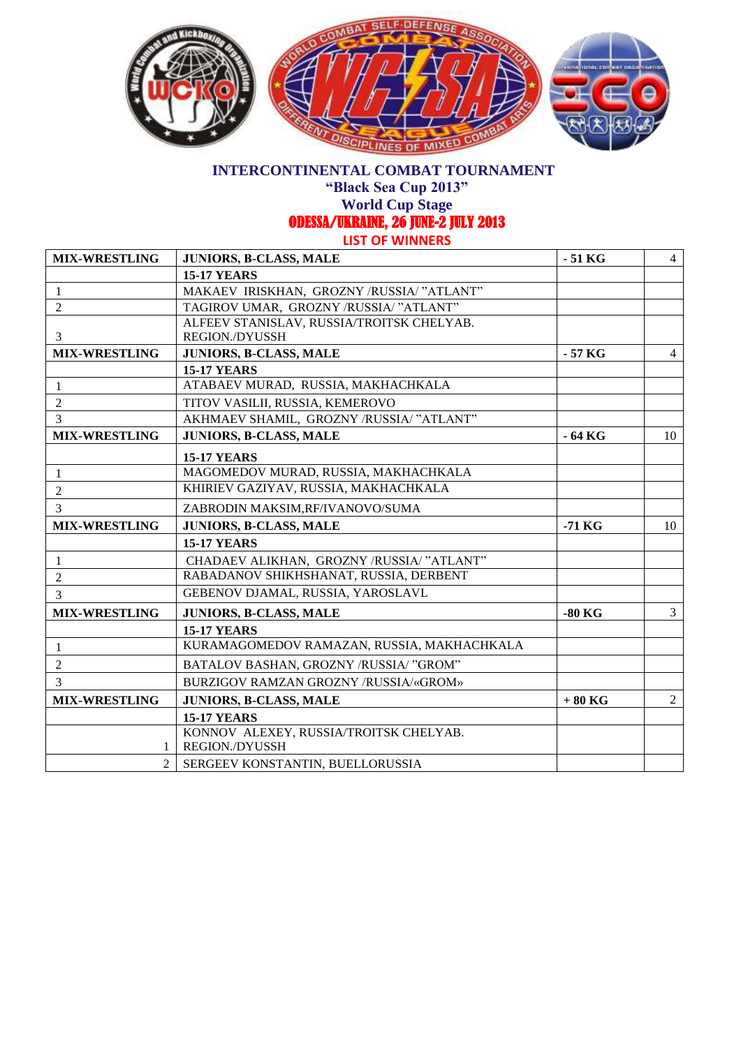

**"Black Sea Cup 2013"**

**World Cup Stage** 

ODESSA/UKRAINE, 26 JUNE-2 JULY 2013

| <b>MIX-WRESTLING</b> | JUNIORS, B-CLASS, MALE                     | $-51$ KG | $\overline{4}$ |
|----------------------|--------------------------------------------|----------|----------------|
|                      | <b>15-17 YEARS</b>                         |          |                |
| 1                    | MAKAEV IRISKHAN, GROZNY /RUSSIA/ "ATLANT"  |          |                |
| $\overline{2}$       | TAGIROV UMAR, GROZNY /RUSSIA/ "ATLANT"     |          |                |
|                      | ALFEEV STANISLAV, RUSSIA/TROITSK CHELYAB.  |          |                |
| 3                    | <b>REGION./DYUSSH</b>                      |          |                |
| <b>MIX-WRESTLING</b> | JUNIORS, B-CLASS, MALE                     | - 57 KG  | $\overline{4}$ |
|                      | <b>15-17 YEARS</b>                         |          |                |
| 1                    | ATABAEV MURAD, RUSSIA, MAKHACHKALA         |          |                |
| $\overline{2}$       | TITOV VASILII, RUSSIA, KEMEROVO            |          |                |
| 3                    | AKHMAEV SHAMIL, GROZNY /RUSSIA/ "ATLANT"   |          |                |
| <b>MIX-WRESTLING</b> | JUNIORS, B-CLASS, MALE                     | - 64 KG  | 10             |
|                      | <b>15-17 YEARS</b>                         |          |                |
| 1                    | MAGOMEDOV MURAD, RUSSIA, MAKHACHKALA       |          |                |
| $\overline{2}$       | KHIRIEV GAZIYAV, RUSSIA, MAKHACHKALA       |          |                |
| 3                    | ZABRODIN MAKSIM, RF/IVANOVO/SUMA           |          |                |
| <b>MIX-WRESTLING</b> | JUNIORS, B-CLASS, MALE                     | $-71$ KG | 10             |
|                      | <b>15-17 YEARS</b>                         |          |                |
| 1                    | CHADAEV ALIKHAN, GROZNY /RUSSIA/ "ATLANT"  |          |                |
| $\overline{c}$       | RABADANOV SHIKHSHANAT, RUSSIA, DERBENT     |          |                |
| 3                    | GEBENOV DJAMAL, RUSSIA, YAROSLAVL          |          |                |
| <b>MIX-WRESTLING</b> | JUNIORS, B-CLASS, MALE                     | $-80$ KG | $\overline{3}$ |
|                      | <b>15-17 YEARS</b>                         |          |                |
| $\mathbf{1}$         | KURAMAGOMEDOV RAMAZAN, RUSSIA, MAKHACHKALA |          |                |
| $\overline{2}$       | BATALOV BASHAN, GROZNY /RUSSIA/ "GROM"     |          |                |
| 3                    | BURZIGOV RAMZAN GROZNY /RUSSIA/«GROM»      |          |                |
| <b>MIX-WRESTLING</b> | JUNIORS, B-CLASS, MALE                     | $+80$ KG | 2              |
|                      | <b>15-17 YEARS</b>                         |          |                |
|                      | KONNOV ALEXEY, RUSSIA/TROITSK CHELYAB.     |          |                |
| 1                    | <b>REGION./DYUSSH</b>                      |          |                |
| $\overline{2}$       | SERGEEV KONSTANTIN, BUELLORUSSIA           |          |                |